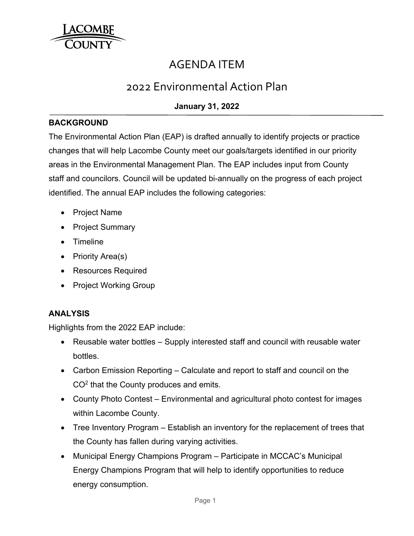

# AGENDA ITEM

## 2022 Environmental Action Plan

## **January 31, 2022**

### **BACKGROUND**

The Environmental Action Plan (EAP) is drafted annually to identify projects or practice changes that will help Lacombe County meet our goals/targets identified in our priority areas in the Environmental Management Plan. The EAP includes input from County staff and councilors. Council will be updated bi-annually on the progress of each project identified. The annual EAP includes the following categories:

- Project Name
- Project Summary
- Timeline
- Priority Area $(s)$
- Resources Required
- Project Working Group

## **ANALYSIS**

Highlights from the 2022 EAP include:

- Reusable water bottles Supply interested staff and council with reusable water bottles.
- Carbon Emission Reporting Calculate and report to staff and council on the CO2 that the County produces and emits.
- County Photo Contest Environmental and agricultural photo contest for images within Lacombe County.
- Tree Inventory Program Establish an inventory for the replacement of trees that the County has fallen during varying activities.
- Municipal Energy Champions Program Participate in MCCAC's Municipal Energy Champions Program that will help to identify opportunities to reduce energy consumption.